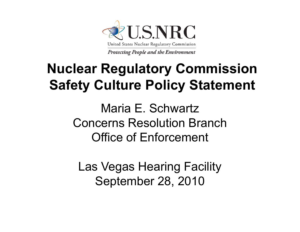

## **Nuclear Regulatory Commission Safety Culture Policy Statement**

Maria E. SchwartzConcerns Resolution BranchOffice of Enforcement

Las Vegas Hearing Facility September 28, 2010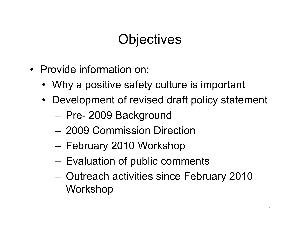### **Objectives**

- Provide information on:
	- Why a positive safety culture is important
	- Development of revised draft policy statement
		- Pre- 2009 Background
		- 2009 Commission Direction
		- February 2010 Workshop
		- Evaluation of public comments
		- Outreach activities since February 2010 Workshop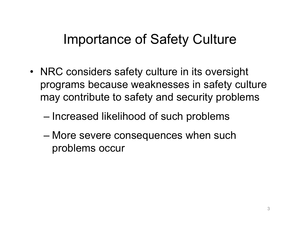### Importance of Safety Culture

- NRC considers safety culture in its oversight programs because weaknesses in safety culture may contribute to safety and security problems
	- $-$  Increased likelihood of such problems
	- More severe consequences when such problems occur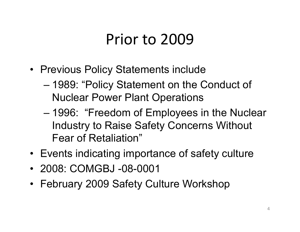## Prior to 2009

- Previous Policy Statements include
	- 1989: "Policy Statement on the Conduct of Nuclear Power Plant Operations
	- 1996: "Freedom of Employees in the Nuclear Industry to Raise Safety Concerns Without Fear of Retaliation"
- Events indicating importance of safety culture
- 2008: COMGBJ -08-0001
- February 2009 Safety Culture Workshop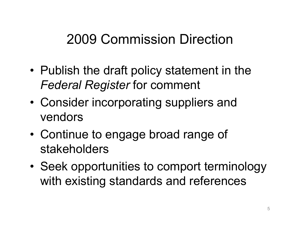### 2009 Commission Direction

- • Publish the draft policy statement in the *Federal Register* for comment
- • Consider incorporating suppliers and vendors
- • Continue to engage broad range of stakeholders
- • Seek opportunities to comport terminology with existing standards and references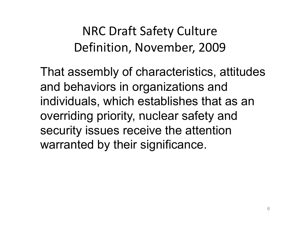NRC Draft Safety Culture Definition, November, 2009

That assembly of characteristics, attitudes and behaviors in organizations and individuals, which establishes that as an overriding priority, nuclear safety and security issues receive the attention warranted by their significance.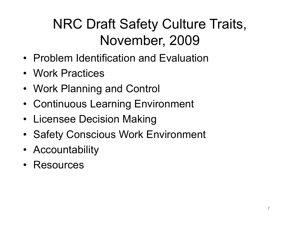## NRC Draft Safety Culture Traits, November, 2009

- Problem Identification and Evaluation
- Work Practices
- Work Planning and Control
- Continuous Learning Environment
- Licensee Decision Making
- Safety Conscious Work Environment
- Accountability
- Resources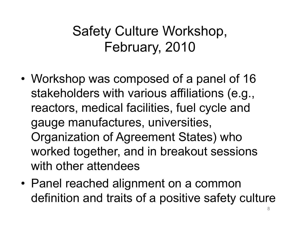## Safety Culture Workshop, February, 2010

- • Workshop was composed of a panel of 16 stakeholders with various affiliations (e.g., reactors, medical facilities, fuel cycle and gauge manufactures, universities, Organization of Agreement States) who worked together, and in breakout sessions with other attendees
- Panel reached alignment on a common definition and traits of a positive safety culture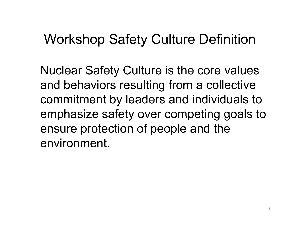#### Workshop Safety Culture Definition

Nuclear Safety Culture is the core values and behaviors resulting from a collective commitment by leaders and individuals to emphasize safety over competing goals to ensure protection of people and the environment.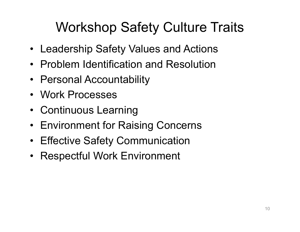## Workshop Safety Culture Traits

- Leadership Safety Values and Actions
- Problem Identification and Resolution
- Personal Accountability
- Work Processes
- Continuous Learnin g
- Environment for Raising Concerns
- Effective Safety Communication
- Respectful Work Environment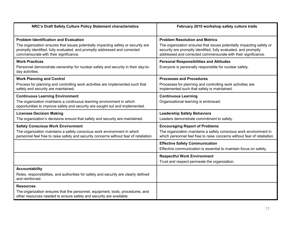| NRC's Draft Safety Culture Policy Statement characteristics                                                                                                                                                                                              | February 2010 workshop safety culture traits                                                                                                                                                                                                      |
|----------------------------------------------------------------------------------------------------------------------------------------------------------------------------------------------------------------------------------------------------------|---------------------------------------------------------------------------------------------------------------------------------------------------------------------------------------------------------------------------------------------------|
| <b>Problem Identification and Evaluation</b><br>The organization ensures that issues potentially impacting safety or security are<br>promptly identified, fully evaluated, and promptly addressed and corrected<br>commensurate with their significance. | <b>Problem Resolution and Metrics</b><br>The organization ensures that issues potentially impacting safety or<br>security are promptly identified, fully evaluated, and promptly<br>addressed and corrected commensurate with their significance. |
| <b>Work Practices</b><br>Personnel demonstrate ownership for nuclear safety and security in their day-to-<br>day activities.                                                                                                                             | <b>Personal Responsibilities and Attitudes</b><br>Everyone is personally responsible for nuclear safety.                                                                                                                                          |
| <b>Work Planning and Control</b><br>Process for planning and controlling work activities are implemented such that<br>safety and security are maintained.                                                                                                | <b>Processes and Procedures</b><br>Processes for planning and controlling work activities are<br>implemented such that safety is maintained.                                                                                                      |
| <b>Continuous Learning Environment</b><br>The organization maintains a continuous learning environment in which<br>opportunities to improve safety and security are sought out and implemented.                                                          | <b>Continuous Learning</b><br>Organizational learning is embraced.                                                                                                                                                                                |
| <b>Licensee Decision Making</b><br>The organization's decisions ensure that safety and security are maintained.                                                                                                                                          | <b>Leadership Safety Behaviors</b><br>Leaders demonstrate commitment to safety.                                                                                                                                                                   |
| <b>Safety Conscious Work Environment</b><br>The organization maintains a safety conscious work environment in which<br>personnel feel free to raise safety and security concerns without fear of retaliation.                                            | <b>Encouraging Report of Problems</b><br>The organization maintains a safety conscious work environment in<br>which personnel feel free to raise concerns without fear of retaliation.                                                            |
|                                                                                                                                                                                                                                                          | <b>Effective Safety Communication</b><br>Effective communication is essential to maintain focus on safety.                                                                                                                                        |
|                                                                                                                                                                                                                                                          | <b>Respectful Work Environment</b><br>Trust and respect permeate the organization.                                                                                                                                                                |
| <b>Accountability</b><br>Roles, responsibilities, and authorities for safety and security are clearly defined<br>and reinforced.                                                                                                                         |                                                                                                                                                                                                                                                   |
| <b>Resources</b><br>The organization ensures that the personnel, equipment, tools, procedures, and<br>other resources needed to ensure safety and security are available.                                                                                |                                                                                                                                                                                                                                                   |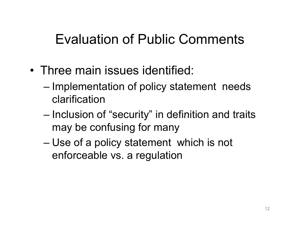### Evaluation of Public Comments

- Three main issues identified:
	- Implementation of policy statement needs clarification
	- Inclusion of "security" in definition and traits may be confusing for many
	- Use of a policy statement which is not enforceable vs. a regulation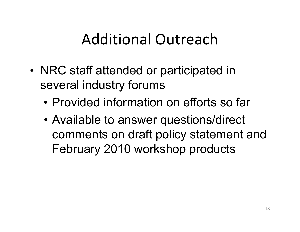# Additional Outreach

- • NRC staff attended or participated in several industry forums
	- Provided information on efforts so far
	- Available to answer questions/direct comments on draft policy statement and February 2010 workshop products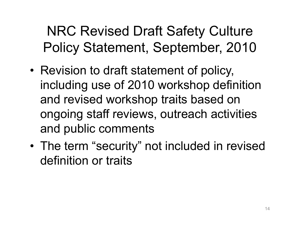NRC Revised Draft Safety Culture Policy Statement, September, 2010

- • Revision to draft statement of policy, including use of 2010 workshop definition and revised workshop traits based on ongoing staff reviews, outreach activities and public comments
- • The term "security" not included in revised definition or traits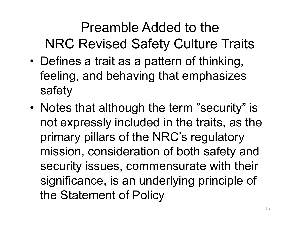## Preamble Added to the NRC Revised Safety Culture Traits

- • Defines a trait as a pattern of thinking, feeling, and behaving that emphasizes safety
- Notes that although the term "security" is not expressly included in the traits, as the primary pillars of the NRC's regulatory mission, consideration of both safety and security issues, commensurate with their significance, is an underlying principle of the Statement of Policy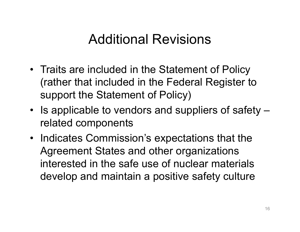#### Additional Revisions

- Traits are included in the Statement of Policy (rather that included in the Federal Register to support the Statement of Policy)
- $\bullet~$  Is applicable to vendors and suppliers of safety  $$ related components
- Indicates Commission's expectations that the Agreement States and other organizations interested in the safe use of nuclear materials develop and maintain a positive safety culture